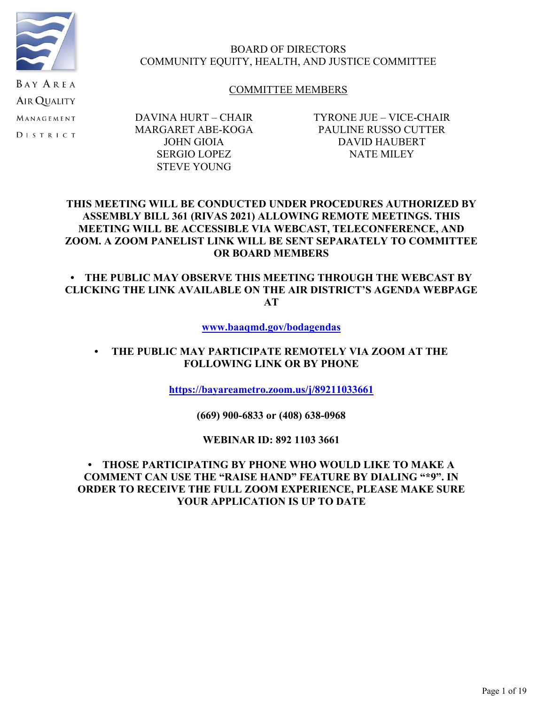

## BOARD OF DIRECTORS COMMUNITY EQUITY, HEALTH, AND JUSTICE COMMITTEE

## COMMITTEE MEMBERS

DAVINA HURT – CHAIR MARGARET ABE-KOGA JOHN GIOIA SERGIO LOPEZ STEVE YOUNG

TYRONE JUE – VICE-CHAIR PAULINE RUSSO CUTTER DAVID HAUBERT NATE MILEY

## **THIS MEETING WILL BE CONDUCTED UNDER PROCEDURES AUTHORIZED BY ASSEMBLY BILL 361 (RIVAS 2021) ALLOWING REMOTE MEETINGS. THIS MEETING WILL BE ACCESSIBLE VIA WEBCAST, TELECONFERENCE, AND ZOOM. A ZOOM PANELIST LINK WILL BE SENT SEPARATELY TO COMMITTEE OR BOARD MEMBERS**

## **• THE PUBLIC MAY OBSERVE THIS MEETING THROUGH THE WEBCAST BY CLICKING THE LINK AVAILABLE ON THE AIR DISTRICT'S AGENDA WEBPAGE AT**

**[www.baaqmd.gov/bodagendas](http://www.baaqmd.gov/bodagendas)**

## **• THE PUBLIC MAY PARTICIPATE REMOTELY VIA ZOOM AT THE FOLLOWING LINK OR BY PHONE**

**[https://bayareametro.zoom.us/j/89211033661](https://nam02.safelinks.protection.outlook.com/?url=https://bayareametro.zoom.us/j/89211033661&data=05%7C01%7Cjbuenaflor@baaqmd.gov%7C395f817ea11a41fc1cff08da338cc865%7C855defaabdae4e6281e53bb7aa04fc3a%7C0%7C0%7C637878977012721380%7CUnknown%7CTWFpbGZsb3d8eyJWIjoiMC4wLjAwMDAiLCJQIjoiV2luMzIiLCJBTiI6Ik1haWwiLCJXVCI6Mn0=%7C3000%7C%7C%7C&sdata=eDpNJpFfo4cuUBV0aCGLYVjCsJpa0JvjK01ccJ6/szw=&reserved=0)**

**(669) 900-6833 or (408) 638-0968**

## **WEBINAR ID: 892 1103 3661**

## **• THOSE PARTICIPATING BY PHONE WHO WOULD LIKE TO MAKE A COMMENT CAN USE THE "RAISE HAND" FEATURE BY DIALING "\*9". IN ORDER TO RECEIVE THE FULL ZOOM EXPERIENCE, PLEASE MAKE SURE YOUR APPLICATION IS UP TO DATE**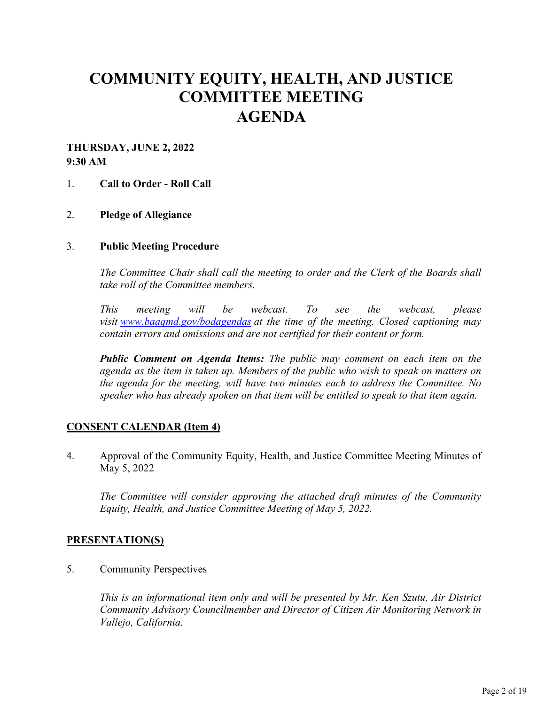# **COMMUNITY EQUITY, HEALTH, AND JUSTICE COMMITTEE MEETING AGENDA**

## **THURSDAY, JUNE 2, 2022 9:30 AM**

## 1. **Call to Order - Roll Call**

## 2. **Pledge of Allegiance**

#### 3. **Public Meeting Procedure**

*The Committee Chair shall call the meeting to order and the Clerk of the Boards shall take roll of the Committee members.* 

*This meeting will be webcast. To see the webcast, please visit [www.baaqmd.gov/bodagendas](https://www.baaqmd.gov/bodagendas) at the time of the meeting. Closed captioning may contain errors and omissions and are not certified for their content or form.* 

*Public Comment on Agenda Items: The public may comment on each item on the agenda as the item is taken up. Members of the public who wish to speak on matters on the agenda for the meeting, will have two minutes each to address the Committee. No speaker who has already spoken on that item will be entitled to speak to that item again.*

## **CONSENT CALENDAR (Item 4)**

4. Approval of the Community Equity, Health, and Justice Committee Meeting Minutes of May 5, 2022

*The Committee will consider approving the attached draft minutes of the Community Equity, Health, and Justice Committee Meeting of May 5, 2022.* 

## **PRESENTATION(S)**

5. Community Perspectives

*This is an informational item only and will be presented by Mr. Ken Szutu, Air District Community Advisory Councilmember and Director of Citizen Air Monitoring Network in Vallejo, California.*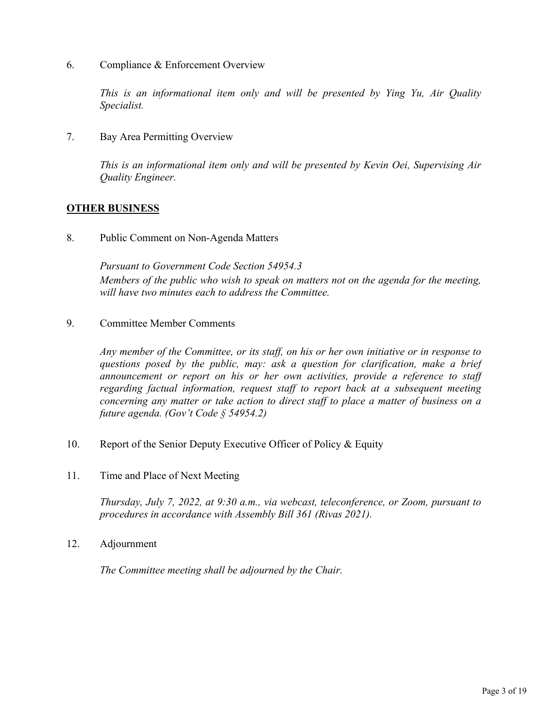6. Compliance & Enforcement Overview

*This is an informational item only and will be presented by Ying Yu, Air Quality Specialist.* 

7. Bay Area Permitting Overview

*This is an informational item only and will be presented by Kevin Oei, Supervising Air Quality Engineer.* 

## **OTHER BUSINESS**

8. Public Comment on Non-Agenda Matters

*Pursuant to Government Code Section 54954.3 Members of the public who wish to speak on matters not on the agenda for the meeting, will have two minutes each to address the Committee.*

9. Committee Member Comments

*Any member of the Committee, or its staff, on his or her own initiative or in response to questions posed by the public, may: ask a question for clarification, make a brief announcement or report on his or her own activities, provide a reference to staff regarding factual information, request staff to report back at a subsequent meeting concerning any matter or take action to direct staff to place a matter of business on a future agenda. (Gov't Code § 54954.2)*

- 10. Report of the Senior Deputy Executive Officer of Policy & Equity
- 11. Time and Place of Next Meeting

*Thursday, July 7, 2022, at 9:30 a.m., via webcast, teleconference, or Zoom, pursuant to procedures in accordance with Assembly Bill 361 (Rivas 2021).* 

12. Adjournment

*The Committee meeting shall be adjourned by the Chair.*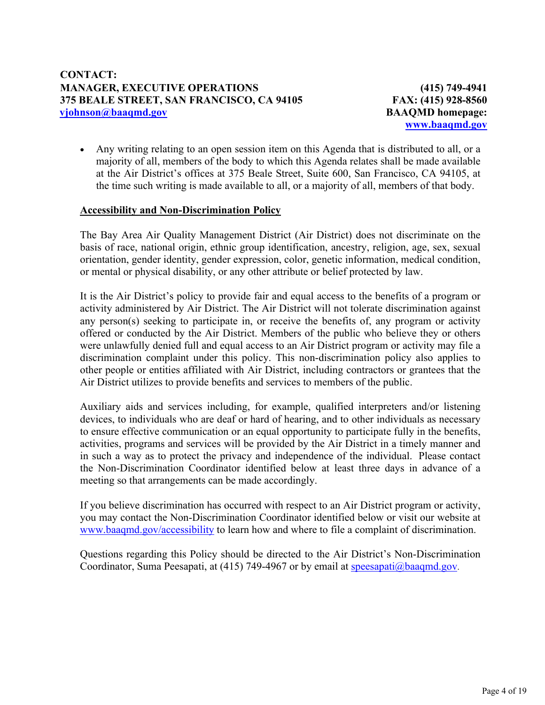**(415) 749-4941 FAX: (415) 928-8560 BAAQMD homepage: [www.baaqmd.gov](http://www.baaqmd.gov/)**

 Any writing relating to an open session item on this Agenda that is distributed to all, or a majority of all, members of the body to which this Agenda relates shall be made available at the Air District's offices at 375 Beale Street, Suite 600, San Francisco, CA 94105, at the time such writing is made available to all, or a majority of all, members of that body.

## **Accessibility and Non-Discrimination Policy**

The Bay Area Air Quality Management District (Air District) does not discriminate on the basis of race, national origin, ethnic group identification, ancestry, religion, age, sex, sexual orientation, gender identity, gender expression, color, genetic information, medical condition, or mental or physical disability, or any other attribute or belief protected by law.

It is the Air District's policy to provide fair and equal access to the benefits of a program or activity administered by Air District. The Air District will not tolerate discrimination against any person(s) seeking to participate in, or receive the benefits of, any program or activity offered or conducted by the Air District. Members of the public who believe they or others were unlawfully denied full and equal access to an Air District program or activity may file a discrimination complaint under this policy. This non-discrimination policy also applies to other people or entities affiliated with Air District, including contractors or grantees that the Air District utilizes to provide benefits and services to members of the public.

Auxiliary aids and services including, for example, qualified interpreters and/or listening devices, to individuals who are deaf or hard of hearing, and to other individuals as necessary to ensure effective communication or an equal opportunity to participate fully in the benefits, activities, programs and services will be provided by the Air District in a timely manner and in such a way as to protect the privacy and independence of the individual. Please contact the Non-Discrimination Coordinator identified below at least three days in advance of a meeting so that arrangements can be made accordingly.

If you believe discrimination has occurred with respect to an Air District program or activity, you may contact the Non-Discrimination Coordinator identified below or visit our website at [www.baaqmd.gov/accessibility](http://www.baaqmd.gov/accessibility) to learn how and where to file a complaint of discrimination.

Questions regarding this Policy should be directed to the Air District's Non-Discrimination Coordinator, Suma Peesapati, at (415) 749-4967 or by email at [speesapati@baaqmd.gov](mailto:speesapati@baaqmd.gov).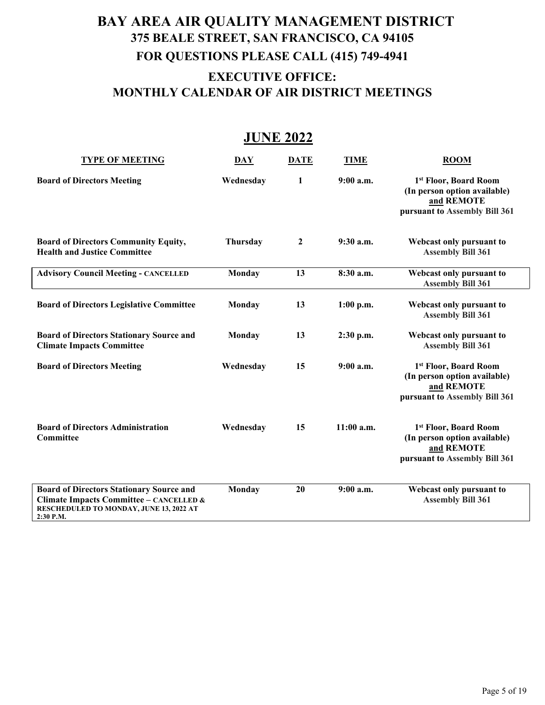# **BAY AREA AIR QUALITY MANAGEMENT DISTRICT 375 BEALE STREET, SAN FRANCISCO, CA 94105 FOR QUESTIONS PLEASE CALL (415) 749-4941 EXECUTIVE OFFICE: MONTHLY CALENDAR OF AIR DISTRICT MEETINGS**

## **JUNE 2022**

| <b>TYPE OF MEETING</b>                                                                                                                             | DAY       | <b>DATE</b>      | <b>TIME</b>  | <b>ROOM</b>                                                                                          |
|----------------------------------------------------------------------------------------------------------------------------------------------------|-----------|------------------|--------------|------------------------------------------------------------------------------------------------------|
| <b>Board of Directors Meeting</b>                                                                                                                  | Wednesday | 1                | 9:00a.m.     | 1st Floor, Board Room<br>(In person option available)<br>and REMOTE<br>pursuant to Assembly Bill 361 |
| <b>Board of Directors Community Equity,</b><br><b>Health and Justice Committee</b>                                                                 | Thursday  | $\boldsymbol{2}$ | 9:30 a.m.    | Webcast only pursuant to<br><b>Assembly Bill 361</b>                                                 |
| <b>Advisory Council Meeting - CANCELLED</b>                                                                                                        | Monday    | 13               | 8:30 a.m.    | Webcast only pursuant to<br><b>Assembly Bill 361</b>                                                 |
| <b>Board of Directors Legislative Committee</b>                                                                                                    | Monday    | 13               | $1:00$ p.m.  | Webcast only pursuant to<br><b>Assembly Bill 361</b>                                                 |
| <b>Board of Directors Stationary Source and</b><br><b>Climate Impacts Committee</b>                                                                | Monday    | 13               | 2:30 p.m.    | Webcast only pursuant to<br><b>Assembly Bill 361</b>                                                 |
| <b>Board of Directors Meeting</b>                                                                                                                  | Wednesday | 15               | $9:00$ a.m.  | 1st Floor, Board Room<br>(In person option available)<br>and REMOTE<br>pursuant to Assembly Bill 361 |
| <b>Board of Directors Administration</b><br><b>Committee</b>                                                                                       | Wednesday | 15               | $11:00$ a.m. | 1st Floor, Board Room<br>(In person option available)<br>and REMOTE<br>pursuant to Assembly Bill 361 |
| <b>Board of Directors Stationary Source and</b><br>Climate Impacts Committee - CANCELLED &<br>RESCHEDULED TO MONDAY, JUNE 13, 2022 AT<br>2:30 P.M. | Monday    | 20               | $9:00$ a.m.  | Webcast only pursuant to<br><b>Assembly Bill 361</b>                                                 |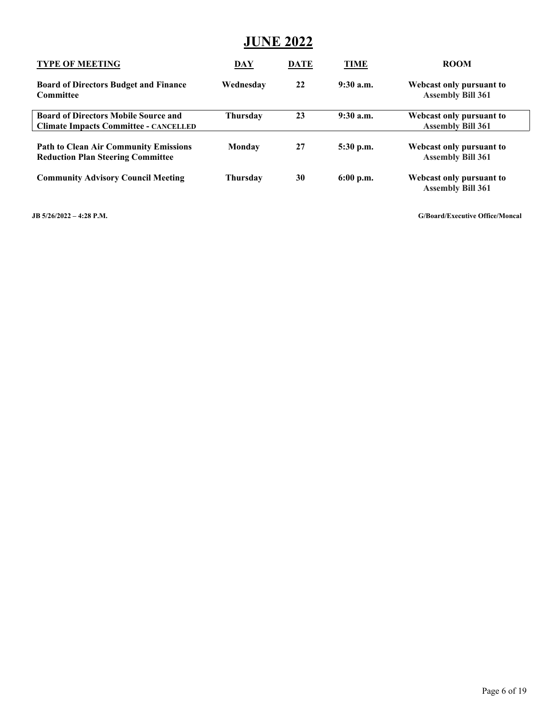# **JUNE 2022**

| <b>TYPE OF MEETING</b>                                                                      | DAY             | <b>DATE</b> | <b>TIME</b> | <b>ROOM</b>                                          |
|---------------------------------------------------------------------------------------------|-----------------|-------------|-------------|------------------------------------------------------|
| <b>Board of Directors Budget and Finance</b><br>Committee                                   | Wednesday       | 22          | 9:30a.m.    | Webcast only pursuant to<br><b>Assembly Bill 361</b> |
| <b>Board of Directors Mobile Source and</b><br><b>Climate Impacts Committee - CANCELLED</b> | <b>Thursday</b> | 23          | $9:30$ a.m. | Webcast only pursuant to<br><b>Assembly Bill 361</b> |
| <b>Path to Clean Air Community Emissions</b><br><b>Reduction Plan Steering Committee</b>    | Monday          | 27          | $5:30$ p.m. | Webcast only pursuant to<br><b>Assembly Bill 361</b> |
| <b>Community Advisory Council Meeting</b>                                                   | <b>Thursday</b> | 30          | $6:00$ p.m. | Webcast only pursuant to<br><b>Assembly Bill 361</b> |

**JB 5/26/2022 – 4:28 P.M. G/Board/Executive Office/Moncal**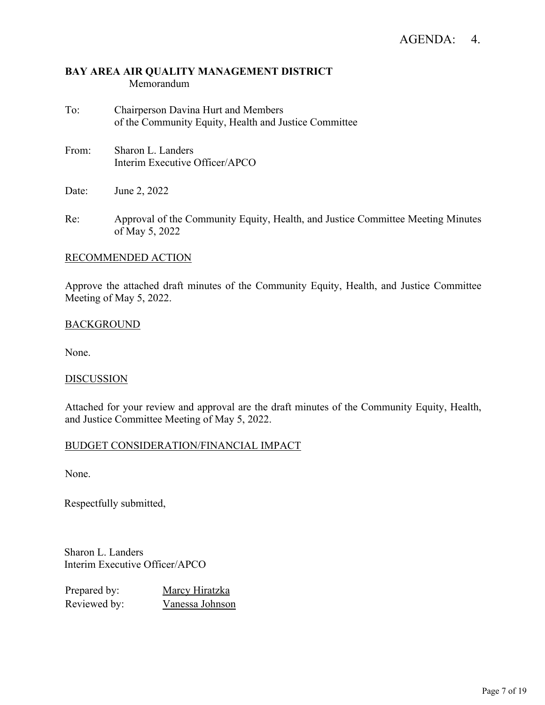- To: Chairperson Davina Hurt and Members of the Community Equity, Health and Justice Committee
- From: Sharon L. Landers Interim Executive Officer/APCO
- Date: June 2, 2022
- Re: Approval of the Community Equity, Health, and Justice Committee Meeting Minutes of May 5, 2022

## RECOMMENDED ACTION

Approve the attached draft minutes of the Community Equity, Health, and Justice Committee Meeting of May 5, 2022.

## BACKGROUND

None.

## **DISCUSSION**

Attached for your review and approval are the draft minutes of the Community Equity, Health, and Justice Committee Meeting of May 5, 2022.

## BUDGET CONSIDERATION/FINANCIAL IMPACT

None.

Respectfully submitted,

Sharon L. Landers Interim Executive Officer/APCO

| Prepared by: | Marcy Hiratzka  |
|--------------|-----------------|
| Reviewed by: | Vanessa Johnson |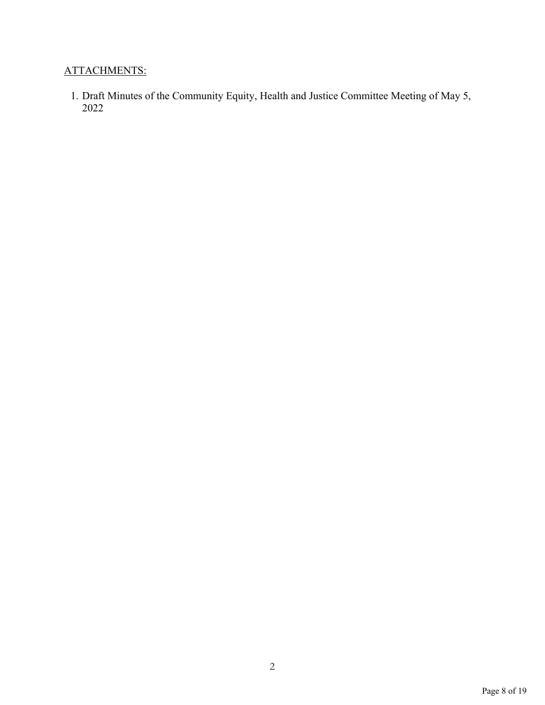# ATTACHMENTS:

1. Draft Minutes of the Community Equity, Health and Justice Committee Meeting of May 5, 2022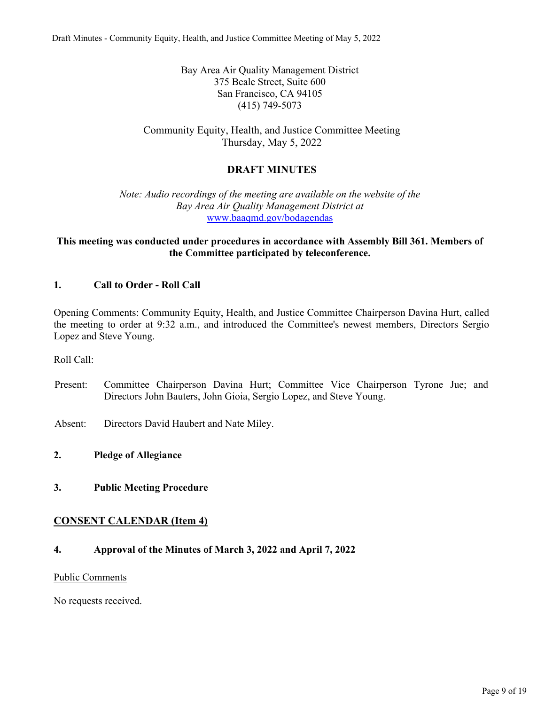Bay Area Air Quality Management District 375 Beale Street, Suite 600 San Francisco, CA 94105 (415) 749-5073

Community Equity, Health, and Justice Committee Meeting Thursday, May 5, 2022

## **DRAFT MINUTES**

*Note: Audio recordings of the meeting are available on the website of the Bay Area Air Quality Management District at* [www.baaqmd.gov/bodagendas](http://www.baaqmd.gov/bodagendas)

## **This meeting was conducted under procedures in accordance with Assembly Bill 361. Members of the Committee participated by teleconference.**

## **1. Call to Order - Roll Call**

Opening Comments: Community Equity, Health, and Justice Committee Chairperson Davina Hurt, called the meeting to order at 9:32 a.m., and introduced the Committee's newest members, Directors Sergio Lopez and Steve Young.

Roll Call:

Present: Committee Chairperson Davina Hurt; Committee Vice Chairperson Tyrone Jue; and Directors John Bauters, John Gioia, Sergio Lopez, and Steve Young.

Absent: Directors David Haubert and Nate Miley.

#### **2. Pledge of Allegiance**

**3. Public Meeting Procedure**

## **CONSENT CALENDAR (Item 4)**

**4. Approval of the Minutes of March 3, 2022 and April 7, 2022**

#### Public Comments

No requests received.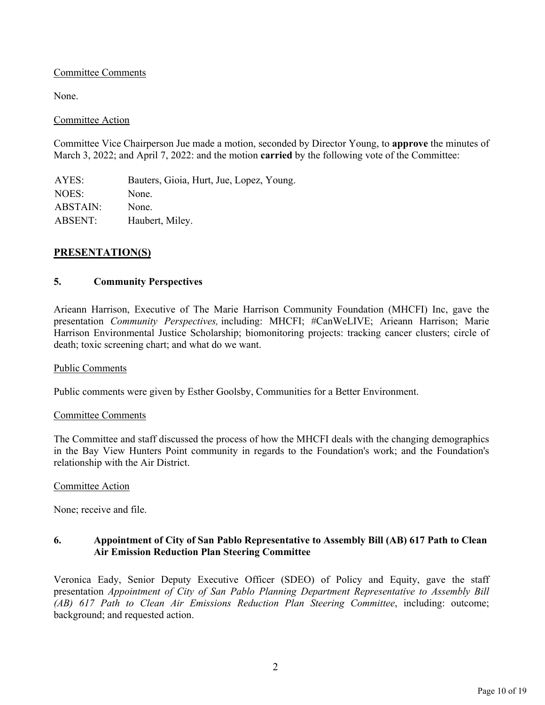## Committee Comments

None.

#### Committee Action

Committee Vice Chairperson Jue made a motion, seconded by Director Young, to **approve** the minutes of March 3, 2022; and April 7, 2022: and the motion **carried** by the following vote of the Committee:

AYES: Bauters, Gioia, Hurt, Jue, Lopez, Young. NOES: None. ABSTAIN: None. ABSENT: Haubert, Miley.

## **PRESENTATION(S)**

## **5. Community Perspectives**

Arieann Harrison, Executive of The Marie Harrison Community Foundation (MHCFI) Inc, gave the presentation *Community Perspectives,* including: MHCFI; #CanWeLIVE; Arieann Harrison; Marie Harrison Environmental Justice Scholarship; biomonitoring projects: tracking cancer clusters; circle of death; toxic screening chart; and what do we want.

#### Public Comments

Public comments were given by Esther Goolsby, Communities for a Better Environment.

#### Committee Comments

The Committee and staff discussed the process of how the MHCFI deals with the changing demographics in the Bay View Hunters Point community in regards to the Foundation's work; and the Foundation's relationship with the Air District.

#### Committee Action

None; receive and file.

#### **6. Appointment of City of San Pablo Representative to Assembly Bill (AB) 617 Path to Clean Air Emission Reduction Plan Steering Committee**

Veronica Eady, Senior Deputy Executive Officer (SDEO) of Policy and Equity, gave the staff presentation *Appointment of City of San Pablo Planning Department Representative to Assembly Bill (AB) 617 Path to Clean Air Emissions Reduction Plan Steering Committee*, including: outcome; background; and requested action.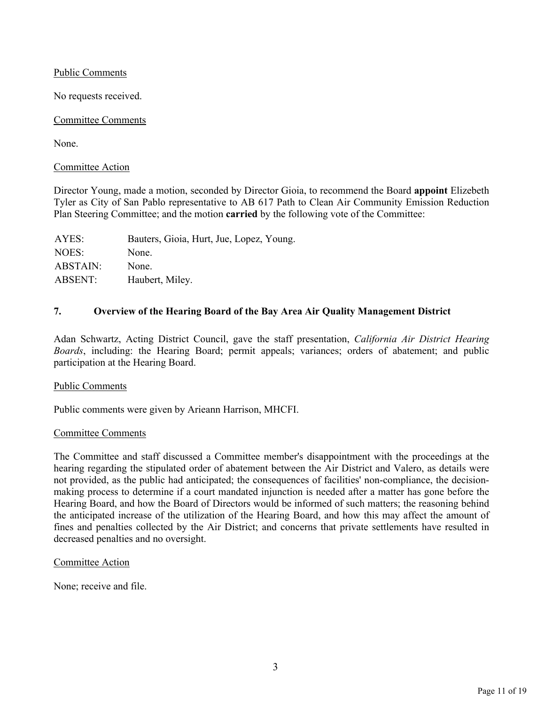Public Comments

No requests received.

### Committee Comments

None.

#### Committee Action

Director Young, made a motion, seconded by Director Gioia, to recommend the Board **appoint** Elizebeth Tyler as City of San Pablo representative to AB 617 Path to Clean Air Community Emission Reduction Plan Steering Committee; and the motion **carried** by the following vote of the Committee:

| Bauters, Gioia, Hurt, Jue, Lopez, Young. |
|------------------------------------------|
| None.                                    |
| None.                                    |
| Haubert, Miley.                          |
|                                          |

## **7. Overview of the Hearing Board of the Bay Area Air Quality Management District**

Adan Schwartz, Acting District Council, gave the staff presentation, *California Air District Hearing Boards*, including: the Hearing Board; permit appeals; variances; orders of abatement; and public participation at the Hearing Board.

#### Public Comments

Public comments were given by Arieann Harrison, MHCFI.

#### Committee Comments

The Committee and staff discussed a Committee member's disappointment with the proceedings at the hearing regarding the stipulated order of abatement between the Air District and Valero, as details were not provided, as the public had anticipated; the consequences of facilities' non-compliance, the decisionmaking process to determine if a court mandated injunction is needed after a matter has gone before the Hearing Board, and how the Board of Directors would be informed of such matters; the reasoning behind the anticipated increase of the utilization of the Hearing Board, and how this may affect the amount of fines and penalties collected by the Air District; and concerns that private settlements have resulted in decreased penalties and no oversight.

## Committee Action

None; receive and file.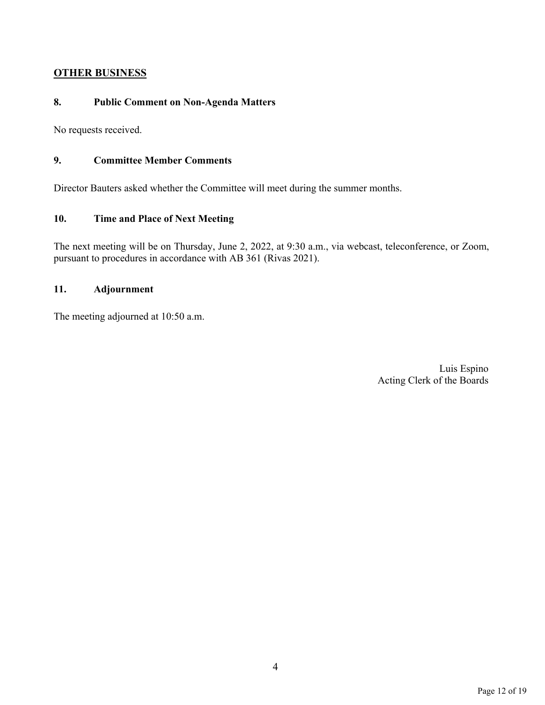## **OTHER BUSINESS**

## **8. Public Comment on Non-Agenda Matters**

No requests received.

## **9. Committee Member Comments**

Director Bauters asked whether the Committee will meet during the summer months.

## **10. Time and Place of Next Meeting**

The next meeting will be on Thursday, June 2, 2022, at 9:30 a.m., via webcast, teleconference, or Zoom, pursuant to procedures in accordance with AB 361 (Rivas 2021).

## **11. Adjournment**

The meeting adjourned at 10:50 a.m.

Luis Espino Acting Clerk of the Boards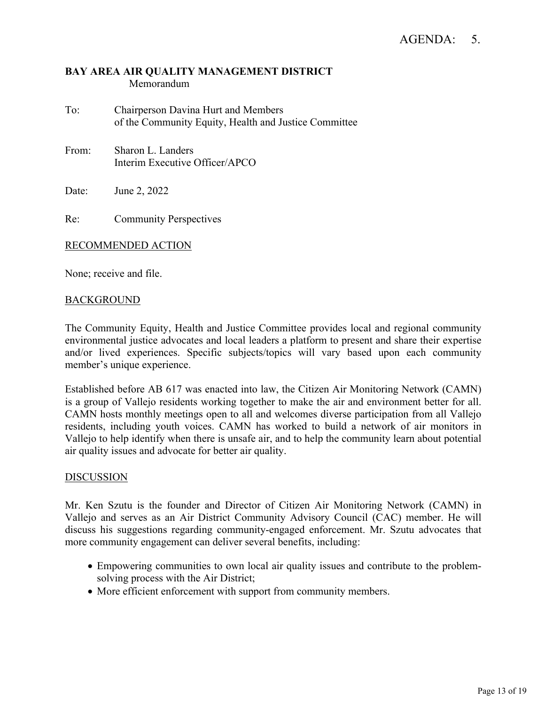- To: Chairperson Davina Hurt and Members of the Community Equity, Health and Justice Committee
- From: Sharon L. Landers Interim Executive Officer/APCO

Date: June 2, 2022

Re: Community Perspectives

## RECOMMENDED ACTION

None; receive and file.

## BACKGROUND

The Community Equity, Health and Justice Committee provides local and regional community environmental justice advocates and local leaders a platform to present and share their expertise and/or lived experiences. Specific subjects/topics will vary based upon each community member's unique experience.

Established before AB 617 was enacted into law, the Citizen Air Monitoring Network (CAMN) is a group of Vallejo residents working together to make the air and environment better for all. CAMN hosts monthly meetings open to all and welcomes diverse participation from all Vallejo residents, including youth voices. CAMN has worked to build a network of air monitors in Vallejo to help identify when there is unsafe air, and to help the community learn about potential air quality issues and advocate for better air quality.

## **DISCUSSION**

Mr. Ken Szutu is the founder and Director of Citizen Air Monitoring Network (CAMN) in Vallejo and serves as an Air District Community Advisory Council (CAC) member. He will discuss his suggestions regarding community-engaged enforcement. Mr. Szutu advocates that more community engagement can deliver several benefits, including:

- Empowering communities to own local air quality issues and contribute to the problemsolving process with the Air District;
- More efficient enforcement with support from community members.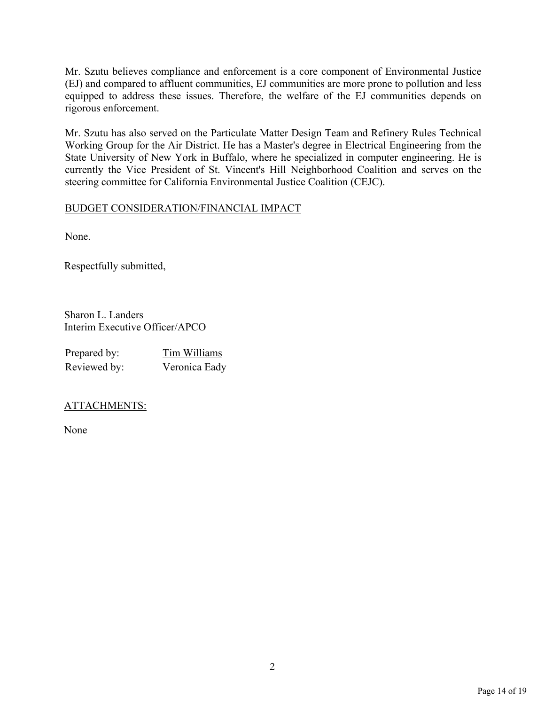Mr. Szutu believes compliance and enforcement is a core component of Environmental Justice (EJ) and compared to affluent communities, EJ communities are more prone to pollution and less equipped to address these issues. Therefore, the welfare of the EJ communities depends on rigorous enforcement.

Mr. Szutu has also served on the Particulate Matter Design Team and Refinery Rules Technical Working Group for the Air District. He has a Master's degree in Electrical Engineering from the State University of New York in Buffalo, where he specialized in computer engineering. He is currently the Vice President of St. Vincent's Hill Neighborhood Coalition and serves on the steering committee for California Environmental Justice Coalition (CEJC).

## BUDGET CONSIDERATION/FINANCIAL IMPACT

None.

Respectfully submitted,

Sharon L. Landers Interim Executive Officer/APCO

| Prepared by: | Tim Williams  |
|--------------|---------------|
| Reviewed by: | Veronica Eady |

## ATTACHMENTS:

None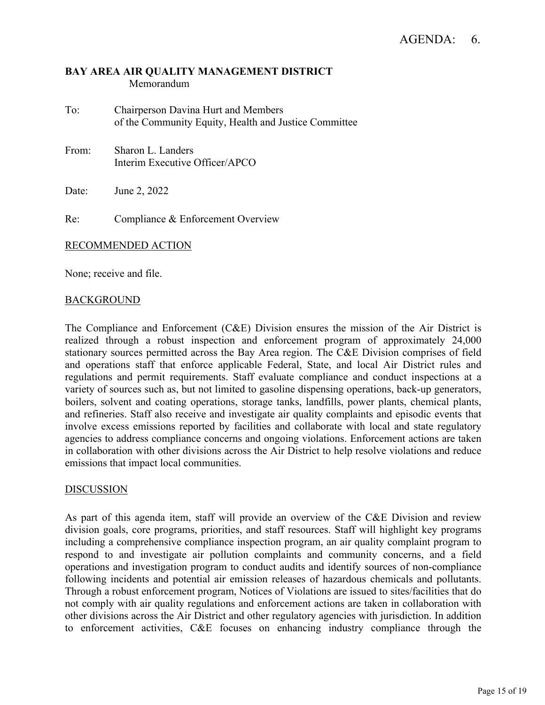- To: Chairperson Davina Hurt and Members of the Community Equity, Health and Justice Committee
- From: Sharon L. Landers Interim Executive Officer/APCO

Date: June 2, 2022

Re: Compliance & Enforcement Overview

#### RECOMMENDED ACTION

None; receive and file.

## BACKGROUND

The Compliance and Enforcement (C&E) Division ensures the mission of the Air District is realized through a robust inspection and enforcement program of approximately 24,000 stationary sources permitted across the Bay Area region. The C&E Division comprises of field and operations staff that enforce applicable Federal, State, and local Air District rules and regulations and permit requirements. Staff evaluate compliance and conduct inspections at a variety of sources such as, but not limited to gasoline dispensing operations, back-up generators, boilers, solvent and coating operations, storage tanks, landfills, power plants, chemical plants, and refineries. Staff also receive and investigate air quality complaints and episodic events that involve excess emissions reported by facilities and collaborate with local and state regulatory agencies to address compliance concerns and ongoing violations. Enforcement actions are taken in collaboration with other divisions across the Air District to help resolve violations and reduce emissions that impact local communities.

## DISCUSSION

As part of this agenda item, staff will provide an overview of the C&E Division and review division goals, core programs, priorities, and staff resources. Staff will highlight key programs including a comprehensive compliance inspection program, an air quality complaint program to respond to and investigate air pollution complaints and community concerns, and a field operations and investigation program to conduct audits and identify sources of non-compliance following incidents and potential air emission releases of hazardous chemicals and pollutants. Through a robust enforcement program, Notices of Violations are issued to sites/facilities that do not comply with air quality regulations and enforcement actions are taken in collaboration with other divisions across the Air District and other regulatory agencies with jurisdiction. In addition to enforcement activities, C&E focuses on enhancing industry compliance through the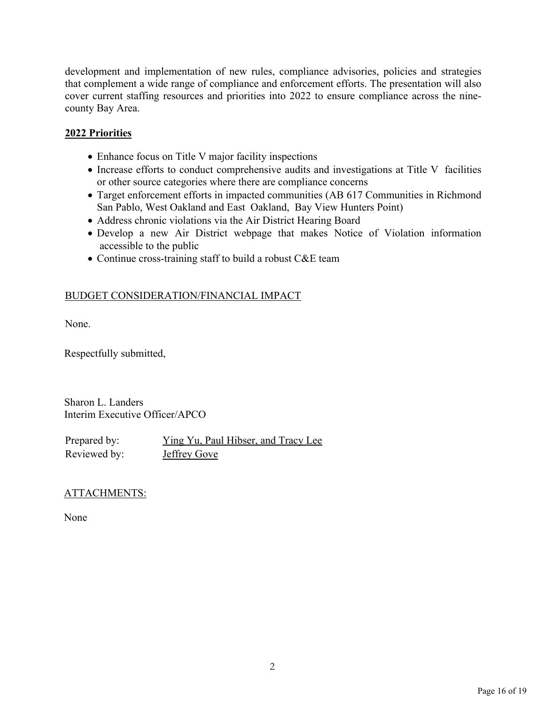development and implementation of new rules, compliance advisories, policies and strategies that complement a wide range of compliance and enforcement efforts. The presentation will also cover current staffing resources and priorities into 2022 to ensure compliance across the ninecounty Bay Area.

## **2022 Priorities**

- Enhance focus on Title V major facility inspections
- Increase efforts to conduct comprehensive audits and investigations at Title V facilities or other source categories where there are compliance concerns
- Target enforcement efforts in impacted communities (AB 617 Communities in Richmond San Pablo, West Oakland and East Oakland, Bay View Hunters Point)
- Address chronic violations via the Air District Hearing Board
- Develop a new Air District webpage that makes Notice of Violation information accessible to the public
- Continue cross-training staff to build a robust C&E team

## BUDGET CONSIDERATION/FINANCIAL IMPACT

None.

Respectfully submitted,

Sharon L. Landers Interim Executive Officer/APCO

Prepared by: *Ying Yu*, Paul Hibser, and Tracy Lee Reviewed by: **Jeffrey Gove** 

## ATTACHMENTS:

None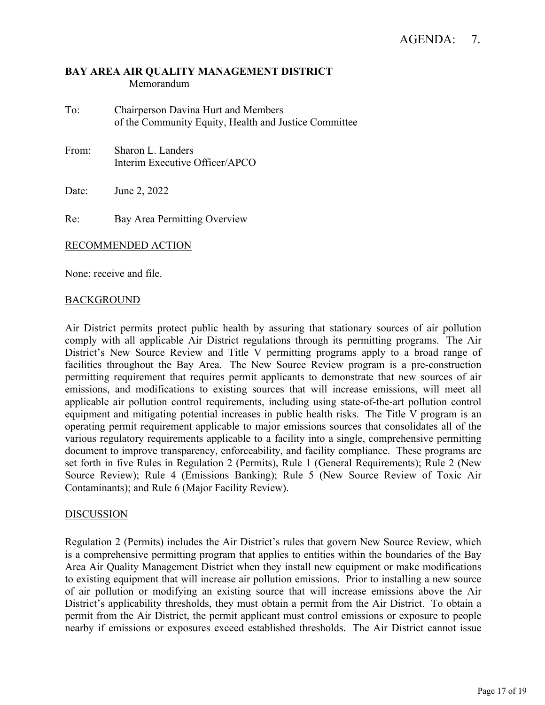- To: Chairperson Davina Hurt and Members of the Community Equity, Health and Justice Committee
- From: Sharon L. Landers Interim Executive Officer/APCO

Date: June 2, 2022

Re: Bay Area Permitting Overview

## RECOMMENDED ACTION

None; receive and file.

## BACKGROUND

Air District permits protect public health by assuring that stationary sources of air pollution comply with all applicable Air District regulations through its permitting programs. The Air District's New Source Review and Title V permitting programs apply to a broad range of facilities throughout the Bay Area. The New Source Review program is a pre-construction permitting requirement that requires permit applicants to demonstrate that new sources of air emissions, and modifications to existing sources that will increase emissions, will meet all applicable air pollution control requirements, including using state-of-the-art pollution control equipment and mitigating potential increases in public health risks. The Title V program is an operating permit requirement applicable to major emissions sources that consolidates all of the various regulatory requirements applicable to a facility into a single, comprehensive permitting document to improve transparency, enforceability, and facility compliance. These programs are set forth in five Rules in Regulation 2 (Permits), Rule 1 (General Requirements); Rule 2 (New Source Review); Rule 4 (Emissions Banking); Rule 5 (New Source Review of Toxic Air Contaminants); and Rule 6 (Major Facility Review).

#### DISCUSSION

Regulation 2 (Permits) includes the Air District's rules that govern New Source Review, which is a comprehensive permitting program that applies to entities within the boundaries of the Bay Area Air Quality Management District when they install new equipment or make modifications to existing equipment that will increase air pollution emissions. Prior to installing a new source of air pollution or modifying an existing source that will increase emissions above the Air District's applicability thresholds, they must obtain a permit from the Air District. To obtain a permit from the Air District, the permit applicant must control emissions or exposure to people nearby if emissions or exposures exceed established thresholds. The Air District cannot issue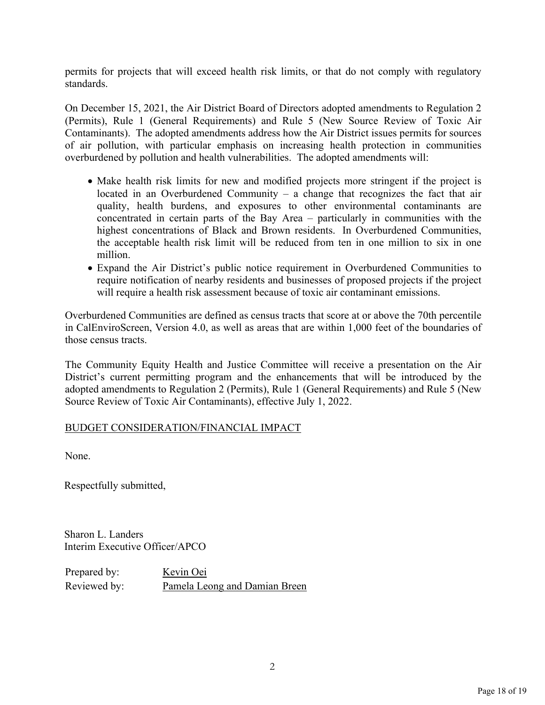permits for projects that will exceed health risk limits, or that do not comply with regulatory standards.

On December 15, 2021, the Air District Board of Directors adopted amendments to Regulation 2 (Permits), Rule 1 (General Requirements) and Rule 5 (New Source Review of Toxic Air Contaminants). The adopted amendments address how the Air District issues permits for sources of air pollution, with particular emphasis on increasing health protection in communities overburdened by pollution and health vulnerabilities. The adopted amendments will:

- Make health risk limits for new and modified projects more stringent if the project is located in an Overburdened Community – a change that recognizes the fact that air quality, health burdens, and exposures to other environmental contaminants are concentrated in certain parts of the Bay Area – particularly in communities with the highest concentrations of Black and Brown residents. In Overburdened Communities, the acceptable health risk limit will be reduced from ten in one million to six in one million.
- Expand the Air District's public notice requirement in Overburdened Communities to require notification of nearby residents and businesses of proposed projects if the project will require a health risk assessment because of toxic air contaminant emissions.

Overburdened Communities are defined as census tracts that score at or above the 70th percentile in CalEnviroScreen, Version 4.0, as well as areas that are within 1,000 feet of the boundaries of those census tracts.

The Community Equity Health and Justice Committee will receive a presentation on the Air District's current permitting program and the enhancements that will be introduced by the adopted amendments to Regulation 2 (Permits), Rule 1 (General Requirements) and Rule 5 (New Source Review of Toxic Air Contaminants), effective July 1, 2022.

## BUDGET CONSIDERATION/FINANCIAL IMPACT

None.

Respectfully submitted,

Sharon L. Landers Interim Executive Officer/APCO

Prepared by: Kevin Oei Reviewed by: Pamela Leong and Damian Breen